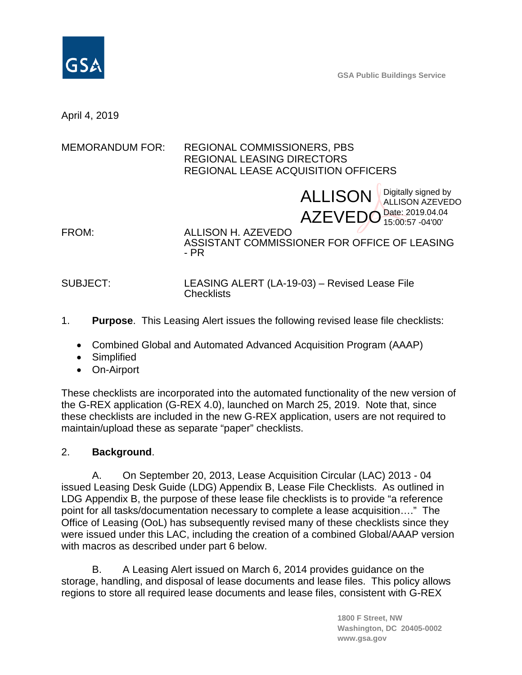

**GSA Public Buildings Service**

April 4, 2019

MEMORANDUM FOR: REGIONAL COMMISSIONERS, PBS REGIONAL LEASING DIRECTORS REGIONAL LEASE ACQUISITION OFFICERS

ALLISON Bigitally signed by AZEVEDO<sup>Date: 2019.04.04</sup> ALLISON AZEVEDO 15:00:57 -04'00'

FROM: ALLISON H. AZEVEDO ASSISTANT COMMISSIONER FOR OFFICE OF LEASING - PR

SUBJECT: LEASING ALERT (LA-19-03) – Revised Lease File **Checklists** 

- 1. **Purpose**. This Leasing Alert issues the following revised lease file checklists:
	- Combined Global and Automated Advanced Acquisition Program (AAAP)
	- Simplified
	- On-Airport

These checklists are incorporated into the automated functionality of the new version of the G-REX application (G-REX 4.0), launched on March 25, 2019. Note that, since these checklists are included in the new G-REX application, users are not required to maintain/upload these as separate "paper" checklists.

## 2. **Background**.

A. On September 20, 2013, Lease Acquisition Circular (LAC) 2013 - 04 issued Leasing Desk Guide (LDG) Appendix B, Lease File Checklists. As outlined in LDG Appendix B, the purpose of these lease file checklists is to provide "a reference point for all tasks/documentation necessary to complete a lease acquisition…." The Office of Leasing (OoL) has subsequently revised many of these checklists since they were issued under this LAC, including the creation of a combined Global/AAAP version with macros as described under part 6 below.

B. A Leasing Alert issued on March 6, 2014 provides guidance on the storage, handling, and disposal of lease documents and lease files. This policy allows regions to store all required lease documents and lease files, consistent with G-REX

> **1800 F Street, NW Washington, DC 20405-0002 [www.gsa.gov](http://www.gsa.gov/)**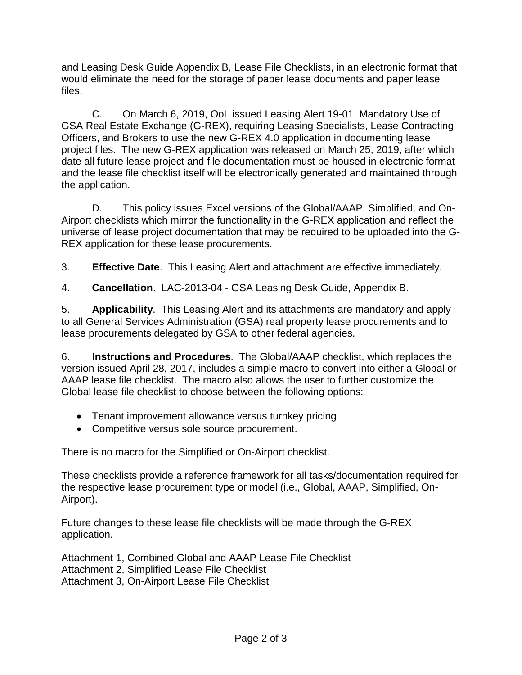and Leasing Desk Guide Appendix B, Lease File Checklists, in an electronic format that would eliminate the need for the storage of paper lease documents and paper lease files.

C. On March 6, 2019, OoL issued Leasing Alert 19-01, Mandatory Use of GSA Real Estate Exchange (G-REX), requiring Leasing Specialists, Lease Contracting Officers, and Brokers to use the new G-REX 4.0 application in documenting lease project files. The new G-REX application was released on March 25, 2019, after which date all future lease project and file documentation must be housed in electronic format and the lease file checklist itself will be electronically generated and maintained through the application.

D. This policy issues Excel versions of the Global/AAAP, Simplified, and On-Airport checklists which mirror the functionality in the G-REX application and reflect the universe of lease project documentation that may be required to be uploaded into the G-REX application for these lease procurements.

3. **Effective Date**. This Leasing Alert and attachment are effective immediately.

4. **Cancellation**. LAC-2013-04 - GSA Leasing Desk Guide, Appendix B.

5. **Applicability**. This Leasing Alert and its attachments are mandatory and apply to all General Services Administration (GSA) real property lease procurements and to lease procurements delegated by GSA to other federal agencies.

6. **Instructions and Procedures**. The Global/AAAP checklist, which replaces the version issued April 28, 2017, includes a simple macro to convert into either a Global or AAAP lease file checklist. The macro also allows the user to further customize the Global lease file checklist to choose between the following options:

- Tenant improvement allowance versus turnkey pricing
- Competitive versus sole source procurement.

There is no macro for the Simplified or On-Airport checklist.

These checklists provide a reference framework for all tasks/documentation required for the respective lease procurement type or model (i.e., Global, AAAP, Simplified, On-Airport).

Future changes to these lease file checklists will be made through the G-REX application.

Attachment 1, Combined Global and AAAP Lease File Checklist Attachment 2, Simplified Lease File Checklist Attachment 3, On-Airport Lease File Checklist